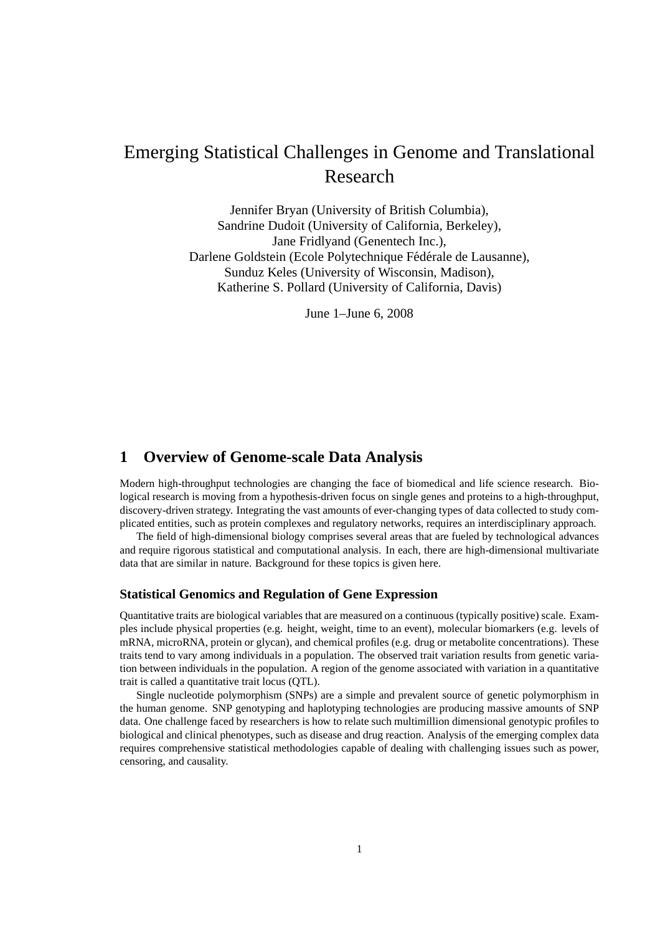# Emerging Statistical Challenges in Genome and Translational Research

Jennifer Bryan (University of British Columbia), Sandrine Dudoit (University of California, Berkeley), Jane Fridlyand (Genentech Inc.), Darlene Goldstein (Ecole Polytechnique Fédérale de Lausanne), Sunduz Keles (University of Wisconsin, Madison), Katherine S. Pollard (University of California, Davis)

June 1–June 6, 2008

# **1 Overview of Genome-scale Data Analysis**

Modern high-throughput technologies are changing the face of biomedical and life science research. Biological research is moving from a hypothesis-driven focus on single genes and proteins to a high-throughput, discovery-driven strategy. Integrating the vast amounts of ever-changing types of data collected to study complicated entities, such as protein complexes and regulatory networks, requires an interdisciplinary approach.

The field of high-dimensional biology comprises several areas that are fueled by technological advances and require rigorous statistical and computational analysis. In each, there are high-dimensional multivariate data that are similar in nature. Background for these topics is given here.

## **Statistical Genomics and Regulation of Gene Expression**

Quantitative traits are biological variables that are measured on a continuous (typically positive) scale. Examples include physical properties (e.g. height, weight, time to an event), molecular biomarkers (e.g. levels of mRNA, microRNA, protein or glycan), and chemical profiles (e.g. drug or metabolite concentrations). These traits tend to vary among individuals in a population. The observed trait variation results from genetic variation between individuals in the population. A region of the genome associated with variation in a quantitative trait is called a quantitative trait locus (QTL).

Single nucleotide polymorphism (SNPs) are a simple and prevalent source of genetic polymorphism in the human genome. SNP genotyping and haplotyping technologies are producing massive amounts of SNP data. One challenge faced by researchers is how to relate such multimillion dimensional genotypic profiles to biological and clinical phenotypes, such as disease and drug reaction. Analysis of the emerging complex data requires comprehensive statistical methodologies capable of dealing with challenging issues such as power, censoring, and causality.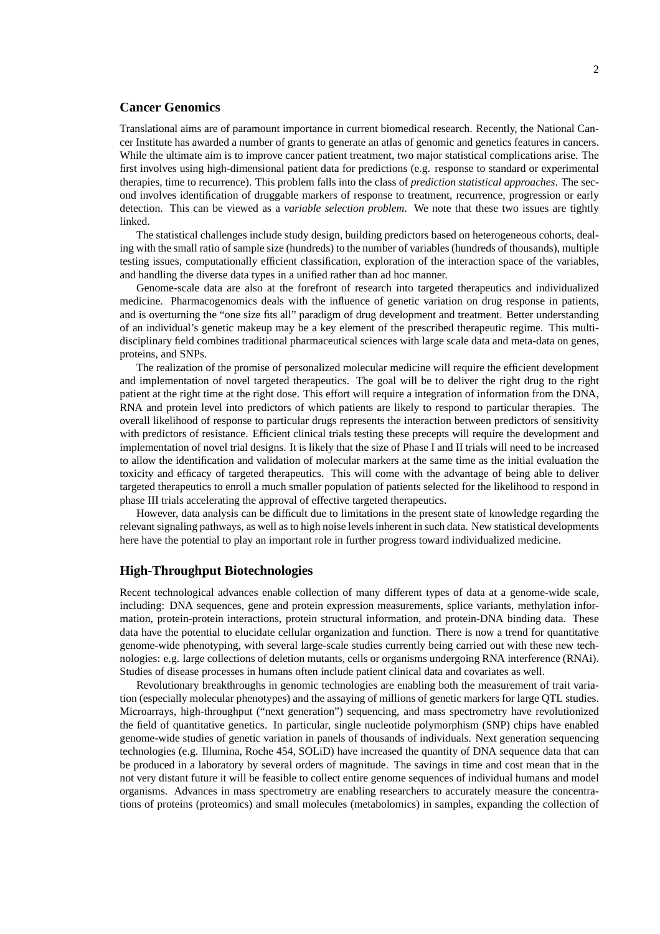# **Cancer Genomics**

Translational aims are of paramount importance in current biomedical research. Recently, the National Cancer Institute has awarded a number of grants to generate an atlas of genomic and genetics features in cancers. While the ultimate aim is to improve cancer patient treatment, two major statistical complications arise. The first involves using high-dimensional patient data for predictions (e.g. response to standard or experimental therapies, time to recurrence). This problem falls into the class of *prediction statistical approaches*. The second involves identification of druggable markers of response to treatment, recurrence, progression or early detection. This can be viewed as a *variable selection problem*. We note that these two issues are tightly linked.

The statistical challenges include study design, building predictors based on heterogeneous cohorts, dealing with the small ratio of sample size (hundreds) to the number of variables (hundreds of thousands), multiple testing issues, computationally efficient classification, exploration of the interaction space of the variables, and handling the diverse data types in a unified rather than ad hoc manner.

Genome-scale data are also at the forefront of research into targeted therapeutics and individualized medicine. Pharmacogenomics deals with the influence of genetic variation on drug response in patients, and is overturning the "one size fits all" paradigm of drug development and treatment. Better understanding of an individual's genetic makeup may be a key element of the prescribed therapeutic regime. This multidisciplinary field combines traditional pharmaceutical sciences with large scale data and meta-data on genes, proteins, and SNPs.

The realization of the promise of personalized molecular medicine will require the efficient development and implementation of novel targeted therapeutics. The goal will be to deliver the right drug to the right patient at the right time at the right dose. This effort will require a integration of information from the DNA, RNA and protein level into predictors of which patients are likely to respond to particular therapies. The overall likelihood of response to particular drugs represents the interaction between predictors of sensitivity with predictors of resistance. Efficient clinical trials testing these precepts will require the development and implementation of novel trial designs. It is likely that the size of Phase I and II trials will need to be increased to allow the identification and validation of molecular markers at the same time as the initial evaluation the toxicity and efficacy of targeted therapeutics. This will come with the advantage of being able to deliver targeted therapeutics to enroll a much smaller population of patients selected for the likelihood to respond in phase III trials accelerating the approval of effective targeted therapeutics.

However, data analysis can be difficult due to limitations in the present state of knowledge regarding the relevant signaling pathways, as well as to high noise levels inherent in such data. New statistical developments here have the potential to play an important role in further progress toward individualized medicine.

## **High-Throughput Biotechnologies**

Recent technological advances enable collection of many different types of data at a genome-wide scale, including: DNA sequences, gene and protein expression measurements, splice variants, methylation information, protein-protein interactions, protein structural information, and protein-DNA binding data. These data have the potential to elucidate cellular organization and function. There is now a trend for quantitative genome-wide phenotyping, with several large-scale studies currently being carried out with these new technologies: e.g. large collections of deletion mutants, cells or organisms undergoing RNA interference (RNAi). Studies of disease processes in humans often include patient clinical data and covariates as well.

Revolutionary breakthroughs in genomic technologies are enabling both the measurement of trait variation (especially molecular phenotypes) and the assaying of millions of genetic markers for large QTL studies. Microarrays, high-throughput ("next generation") sequencing, and mass spectrometry have revolutionized the field of quantitative genetics. In particular, single nucleotide polymorphism (SNP) chips have enabled genome-wide studies of genetic variation in panels of thousands of individuals. Next generation sequencing technologies (e.g. Illumina, Roche 454, SOLiD) have increased the quantity of DNA sequence data that can be produced in a laboratory by several orders of magnitude. The savings in time and cost mean that in the not very distant future it will be feasible to collect entire genome sequences of individual humans and model organisms. Advances in mass spectrometry are enabling researchers to accurately measure the concentrations of proteins (proteomics) and small molecules (metabolomics) in samples, expanding the collection of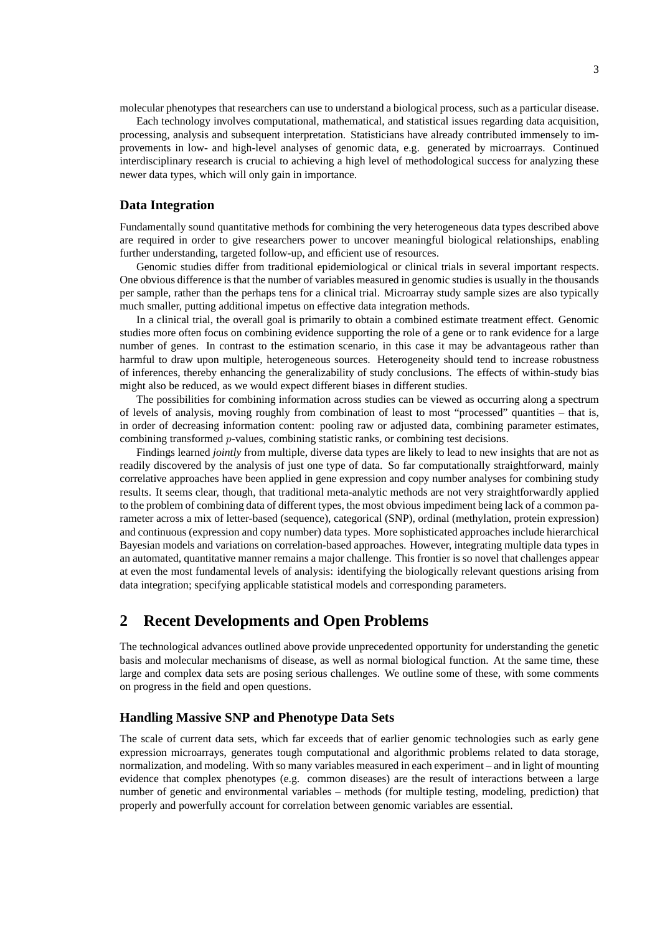molecular phenotypes that researchers can use to understand a biological process, such as a particular disease.

Each technology involves computational, mathematical, and statistical issues regarding data acquisition, processing, analysis and subsequent interpretation. Statisticians have already contributed immensely to improvements in low- and high-level analyses of genomic data, e.g. generated by microarrays. Continued interdisciplinary research is crucial to achieving a high level of methodological success for analyzing these newer data types, which will only gain in importance.

## **Data Integration**

Fundamentally sound quantitative methods for combining the very heterogeneous data types described above are required in order to give researchers power to uncover meaningful biological relationships, enabling further understanding, targeted follow-up, and efficient use of resources.

Genomic studies differ from traditional epidemiological or clinical trials in several important respects. One obvious difference is that the number of variables measured in genomic studies is usually in the thousands per sample, rather than the perhaps tens for a clinical trial. Microarray study sample sizes are also typically much smaller, putting additional impetus on effective data integration methods.

In a clinical trial, the overall goal is primarily to obtain a combined estimate treatment effect. Genomic studies more often focus on combining evidence supporting the role of a gene or to rank evidence for a large number of genes. In contrast to the estimation scenario, in this case it may be advantageous rather than harmful to draw upon multiple, heterogeneous sources. Heterogeneity should tend to increase robustness of inferences, thereby enhancing the generalizability of study conclusions. The effects of within-study bias might also be reduced, as we would expect different biases in different studies.

The possibilities for combining information across studies can be viewed as occurring along a spectrum of levels of analysis, moving roughly from combination of least to most "processed" quantities – that is, in order of decreasing information content: pooling raw or adjusted data, combining parameter estimates, combining transformed p-values, combining statistic ranks, or combining test decisions.

Findings learned *jointly* from multiple, diverse data types are likely to lead to new insights that are not as readily discovered by the analysis of just one type of data. So far computationally straightforward, mainly correlative approaches have been applied in gene expression and copy number analyses for combining study results. It seems clear, though, that traditional meta-analytic methods are not very straightforwardly applied to the problem of combining data of different types, the most obvious impediment being lack of a common parameter across a mix of letter-based (sequence), categorical (SNP), ordinal (methylation, protein expression) and continuous (expression and copy number) data types. More sophisticated approaches include hierarchical Bayesian models and variations on correlation-based approaches. However, integrating multiple data types in an automated, quantitative manner remains a major challenge. This frontier is so novel that challenges appear at even the most fundamental levels of analysis: identifying the biologically relevant questions arising from data integration; specifying applicable statistical models and corresponding parameters.

# **2 Recent Developments and Open Problems**

The technological advances outlined above provide unprecedented opportunity for understanding the genetic basis and molecular mechanisms of disease, as well as normal biological function. At the same time, these large and complex data sets are posing serious challenges. We outline some of these, with some comments on progress in the field and open questions.

#### **Handling Massive SNP and Phenotype Data Sets**

The scale of current data sets, which far exceeds that of earlier genomic technologies such as early gene expression microarrays, generates tough computational and algorithmic problems related to data storage, normalization, and modeling. With so many variables measured in each experiment – and in light of mounting evidence that complex phenotypes (e.g. common diseases) are the result of interactions between a large number of genetic and environmental variables – methods (for multiple testing, modeling, prediction) that properly and powerfully account for correlation between genomic variables are essential.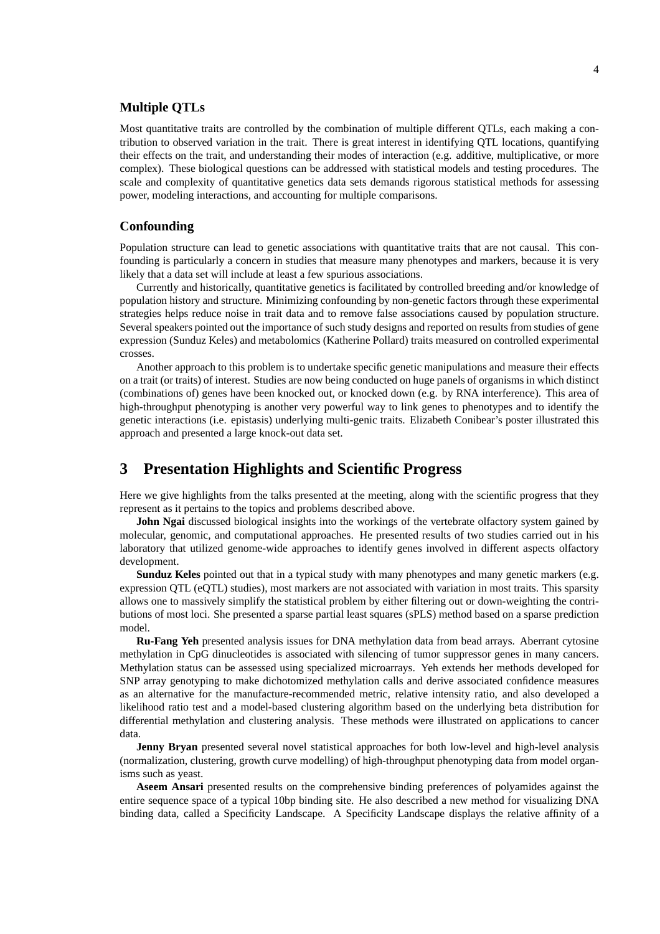# **Multiple QTLs**

Most quantitative traits are controlled by the combination of multiple different QTLs, each making a contribution to observed variation in the trait. There is great interest in identifying QTL locations, quantifying their effects on the trait, and understanding their modes of interaction (e.g. additive, multiplicative, or more complex). These biological questions can be addressed with statistical models and testing procedures. The scale and complexity of quantitative genetics data sets demands rigorous statistical methods for assessing power, modeling interactions, and accounting for multiple comparisons.

## **Confounding**

Population structure can lead to genetic associations with quantitative traits that are not causal. This confounding is particularly a concern in studies that measure many phenotypes and markers, because it is very likely that a data set will include at least a few spurious associations.

Currently and historically, quantitative genetics is facilitated by controlled breeding and/or knowledge of population history and structure. Minimizing confounding by non-genetic factors through these experimental strategies helps reduce noise in trait data and to remove false associations caused by population structure. Several speakers pointed out the importance of such study designs and reported on results from studies of gene expression (Sunduz Keles) and metabolomics (Katherine Pollard) traits measured on controlled experimental crosses.

Another approach to this problem is to undertake specific genetic manipulations and measure their effects on a trait (or traits) of interest. Studies are now being conducted on huge panels of organisms in which distinct (combinations of) genes have been knocked out, or knocked down (e.g. by RNA interference). This area of high-throughput phenotyping is another very powerful way to link genes to phenotypes and to identify the genetic interactions (i.e. epistasis) underlying multi-genic traits. Elizabeth Conibear's poster illustrated this approach and presented a large knock-out data set.

# **3 Presentation Highlights and Scientific Progress**

Here we give highlights from the talks presented at the meeting, along with the scientific progress that they represent as it pertains to the topics and problems described above.

**John Ngai** discussed biological insights into the workings of the vertebrate olfactory system gained by molecular, genomic, and computational approaches. He presented results of two studies carried out in his laboratory that utilized genome-wide approaches to identify genes involved in different aspects olfactory development.

**Sunduz Keles** pointed out that in a typical study with many phenotypes and many genetic markers (e.g. expression QTL (eQTL) studies), most markers are not associated with variation in most traits. This sparsity allows one to massively simplify the statistical problem by either filtering out or down-weighting the contributions of most loci. She presented a sparse partial least squares (sPLS) method based on a sparse prediction model.

**Ru-Fang Yeh** presented analysis issues for DNA methylation data from bead arrays. Aberrant cytosine methylation in CpG dinucleotides is associated with silencing of tumor suppressor genes in many cancers. Methylation status can be assessed using specialized microarrays. Yeh extends her methods developed for SNP array genotyping to make dichotomized methylation calls and derive associated confidence measures as an alternative for the manufacture-recommended metric, relative intensity ratio, and also developed a likelihood ratio test and a model-based clustering algorithm based on the underlying beta distribution for differential methylation and clustering analysis. These methods were illustrated on applications to cancer data.

**Jenny Bryan** presented several novel statistical approaches for both low-level and high-level analysis (normalization, clustering, growth curve modelling) of high-throughput phenotyping data from model organisms such as yeast.

**Aseem Ansari** presented results on the comprehensive binding preferences of polyamides against the entire sequence space of a typical 10bp binding site. He also described a new method for visualizing DNA binding data, called a Specificity Landscape. A Specificity Landscape displays the relative affinity of a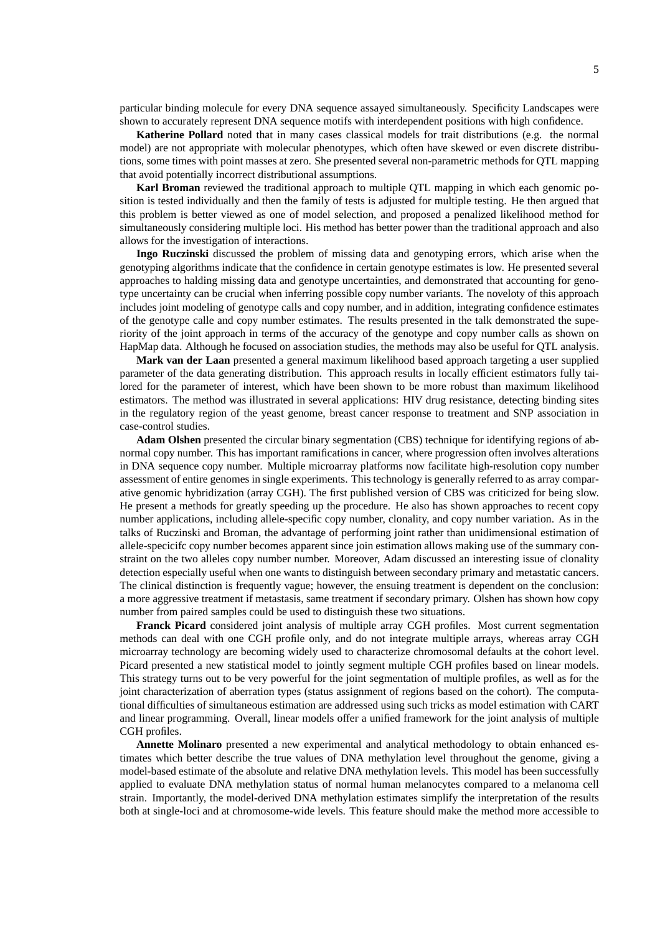particular binding molecule for every DNA sequence assayed simultaneously. Specificity Landscapes were shown to accurately represent DNA sequence motifs with interdependent positions with high confidence.

**Katherine Pollard** noted that in many cases classical models for trait distributions (e.g. the normal model) are not appropriate with molecular phenotypes, which often have skewed or even discrete distributions, some times with point masses at zero. She presented several non-parametric methods for QTL mapping that avoid potentially incorrect distributional assumptions.

**Karl Broman** reviewed the traditional approach to multiple QTL mapping in which each genomic position is tested individually and then the family of tests is adjusted for multiple testing. He then argued that this problem is better viewed as one of model selection, and proposed a penalized likelihood method for simultaneously considering multiple loci. His method has better power than the traditional approach and also allows for the investigation of interactions.

**Ingo Ruczinski** discussed the problem of missing data and genotyping errors, which arise when the genotyping algorithms indicate that the confidence in certain genotype estimates is low. He presented several approaches to halding missing data and genotype uncertainties, and demonstrated that accounting for genotype uncertainty can be crucial when inferring possible copy number variants. The noveloty of this approach includes joint modeling of genotype calls and copy number, and in addition, integrating confidence estimates of the genotype calle and copy number estimates. The results presented in the talk demonstrated the superiority of the joint approach in terms of the accuracy of the genotype and copy number calls as shown on HapMap data. Although he focused on association studies, the methods may also be useful for QTL analysis.

**Mark van der Laan** presented a general maximum likelihood based approach targeting a user supplied parameter of the data generating distribution. This approach results in locally efficient estimators fully tailored for the parameter of interest, which have been shown to be more robust than maximum likelihood estimators. The method was illustrated in several applications: HIV drug resistance, detecting binding sites in the regulatory region of the yeast genome, breast cancer response to treatment and SNP association in case-control studies.

**Adam Olshen** presented the circular binary segmentation (CBS) technique for identifying regions of abnormal copy number. This has important ramifications in cancer, where progression often involves alterations in DNA sequence copy number. Multiple microarray platforms now facilitate high-resolution copy number assessment of entire genomes in single experiments. This technology is generally referred to as array comparative genomic hybridization (array CGH). The first published version of CBS was criticized for being slow. He present a methods for greatly speeding up the procedure. He also has shown approaches to recent copy number applications, including allele-specific copy number, clonality, and copy number variation. As in the talks of Ruczinski and Broman, the advantage of performing joint rather than unidimensional estimation of allele-specicifc copy number becomes apparent since join estimation allows making use of the summary constraint on the two alleles copy number number. Moreover, Adam discussed an interesting issue of clonality detection especially useful when one wants to distinguish between secondary primary and metastatic cancers. The clinical distinction is frequently vague; however, the ensuing treatment is dependent on the conclusion: a more aggressive treatment if metastasis, same treatment if secondary primary. Olshen has shown how copy number from paired samples could be used to distinguish these two situations.

**Franck Picard** considered joint analysis of multiple array CGH profiles. Most current segmentation methods can deal with one CGH profile only, and do not integrate multiple arrays, whereas array CGH microarray technology are becoming widely used to characterize chromosomal defaults at the cohort level. Picard presented a new statistical model to jointly segment multiple CGH profiles based on linear models. This strategy turns out to be very powerful for the joint segmentation of multiple profiles, as well as for the joint characterization of aberration types (status assignment of regions based on the cohort). The computational difficulties of simultaneous estimation are addressed using such tricks as model estimation with CART and linear programming. Overall, linear models offer a unified framework for the joint analysis of multiple CGH profiles.

**Annette Molinaro** presented a new experimental and analytical methodology to obtain enhanced estimates which better describe the true values of DNA methylation level throughout the genome, giving a model-based estimate of the absolute and relative DNA methylation levels. This model has been successfully applied to evaluate DNA methylation status of normal human melanocytes compared to a melanoma cell strain. Importantly, the model-derived DNA methylation estimates simplify the interpretation of the results both at single-loci and at chromosome-wide levels. This feature should make the method more accessible to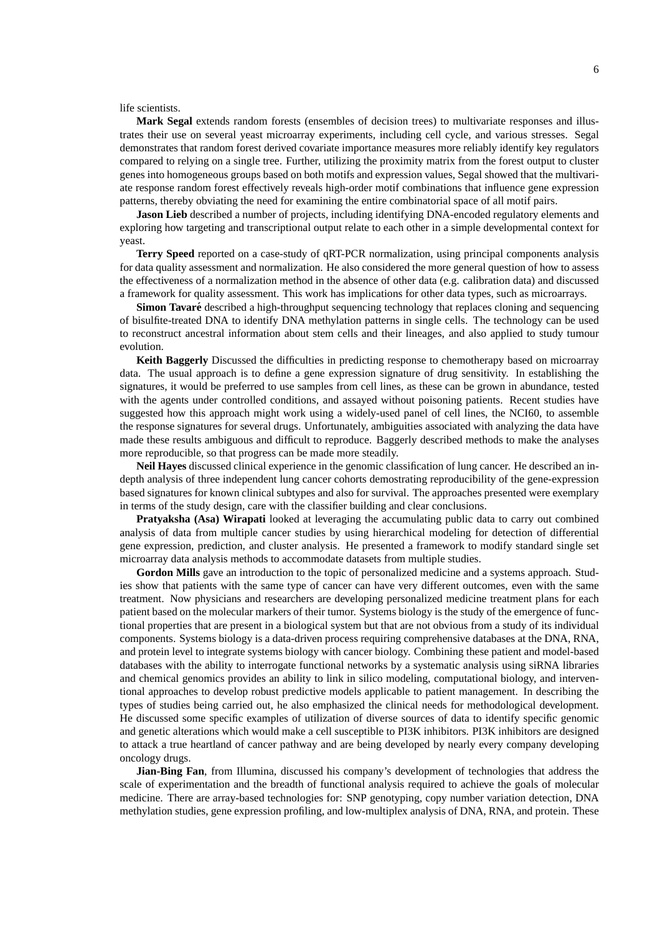life scientists.

**Mark Segal** extends random forests (ensembles of decision trees) to multivariate responses and illustrates their use on several yeast microarray experiments, including cell cycle, and various stresses. Segal demonstrates that random forest derived covariate importance measures more reliably identify key regulators compared to relying on a single tree. Further, utilizing the proximity matrix from the forest output to cluster genes into homogeneous groups based on both motifs and expression values, Segal showed that the multivariate response random forest effectively reveals high-order motif combinations that influence gene expression patterns, thereby obviating the need for examining the entire combinatorial space of all motif pairs.

**Jason Lieb** described a number of projects, including identifying DNA-encoded regulatory elements and exploring how targeting and transcriptional output relate to each other in a simple developmental context for yeast.

**Terry Speed** reported on a case-study of qRT-PCR normalization, using principal components analysis for data quality assessment and normalization. He also considered the more general question of how to assess the effectiveness of a normalization method in the absence of other data (e.g. calibration data) and discussed a framework for quality assessment. This work has implications for other data types, such as microarrays.

**Simon Tavaré** described a high-throughput sequencing technology that replaces cloning and sequencing of bisulfite-treated DNA to identify DNA methylation patterns in single cells. The technology can be used to reconstruct ancestral information about stem cells and their lineages, and also applied to study tumour evolution.

**Keith Baggerly** Discussed the difficulties in predicting response to chemotherapy based on microarray data. The usual approach is to define a gene expression signature of drug sensitivity. In establishing the signatures, it would be preferred to use samples from cell lines, as these can be grown in abundance, tested with the agents under controlled conditions, and assayed without poisoning patients. Recent studies have suggested how this approach might work using a widely-used panel of cell lines, the NCI60, to assemble the response signatures for several drugs. Unfortunately, ambiguities associated with analyzing the data have made these results ambiguous and difficult to reproduce. Baggerly described methods to make the analyses more reproducible, so that progress can be made more steadily.

**Neil Hayes** discussed clinical experience in the genomic classification of lung cancer. He described an indepth analysis of three independent lung cancer cohorts demostrating reproducibility of the gene-expression based signatures for known clinical subtypes and also for survival. The approaches presented were exemplary in terms of the study design, care with the classifier building and clear conclusions.

**Pratyaksha (Asa) Wirapati** looked at leveraging the accumulating public data to carry out combined analysis of data from multiple cancer studies by using hierarchical modeling for detection of differential gene expression, prediction, and cluster analysis. He presented a framework to modify standard single set microarray data analysis methods to accommodate datasets from multiple studies.

**Gordon Mills** gave an introduction to the topic of personalized medicine and a systems approach. Studies show that patients with the same type of cancer can have very different outcomes, even with the same treatment. Now physicians and researchers are developing personalized medicine treatment plans for each patient based on the molecular markers of their tumor. Systems biology is the study of the emergence of functional properties that are present in a biological system but that are not obvious from a study of its individual components. Systems biology is a data-driven process requiring comprehensive databases at the DNA, RNA, and protein level to integrate systems biology with cancer biology. Combining these patient and model-based databases with the ability to interrogate functional networks by a systematic analysis using siRNA libraries and chemical genomics provides an ability to link in silico modeling, computational biology, and interventional approaches to develop robust predictive models applicable to patient management. In describing the types of studies being carried out, he also emphasized the clinical needs for methodological development. He discussed some specific examples of utilization of diverse sources of data to identify specific genomic and genetic alterations which would make a cell susceptible to PI3K inhibitors. PI3K inhibitors are designed to attack a true heartland of cancer pathway and are being developed by nearly every company developing oncology drugs.

**Jian-Bing Fan**, from Illumina, discussed his company's development of technologies that address the scale of experimentation and the breadth of functional analysis required to achieve the goals of molecular medicine. There are array-based technologies for: SNP genotyping, copy number variation detection, DNA methylation studies, gene expression profiling, and low-multiplex analysis of DNA, RNA, and protein. These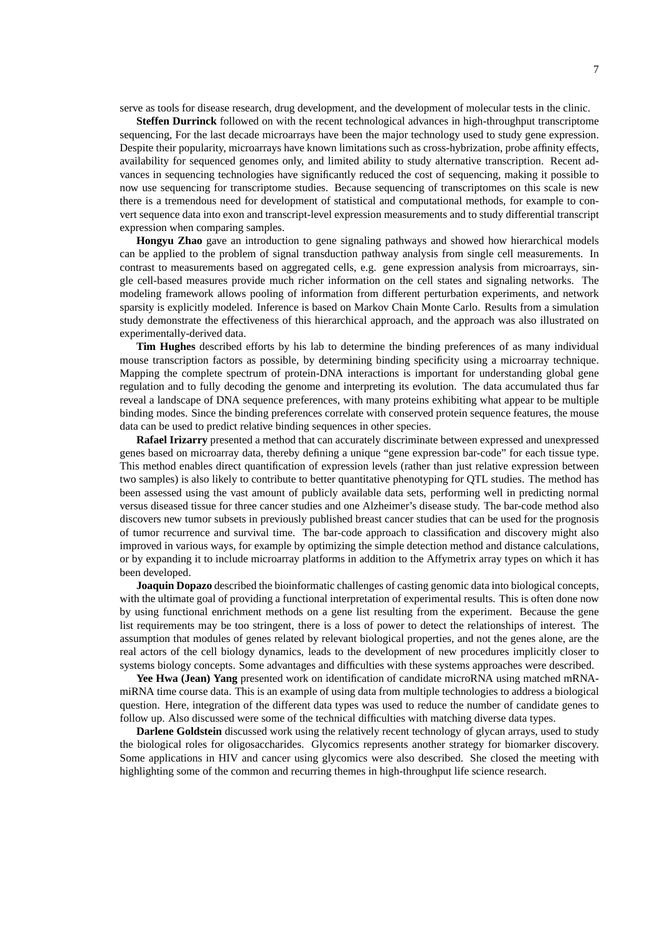serve as tools for disease research, drug development, and the development of molecular tests in the clinic.

**Steffen Durrinck** followed on with the recent technological advances in high-throughput transcriptome sequencing, For the last decade microarrays have been the major technology used to study gene expression. Despite their popularity, microarrays have known limitations such as cross-hybrization, probe affinity effects, availability for sequenced genomes only, and limited ability to study alternative transcription. Recent advances in sequencing technologies have significantly reduced the cost of sequencing, making it possible to now use sequencing for transcriptome studies. Because sequencing of transcriptomes on this scale is new there is a tremendous need for development of statistical and computational methods, for example to convert sequence data into exon and transcript-level expression measurements and to study differential transcript expression when comparing samples.

**Hongyu Zhao** gave an introduction to gene signaling pathways and showed how hierarchical models can be applied to the problem of signal transduction pathway analysis from single cell measurements. In contrast to measurements based on aggregated cells, e.g. gene expression analysis from microarrays, single cell-based measures provide much richer information on the cell states and signaling networks. The modeling framework allows pooling of information from different perturbation experiments, and network sparsity is explicitly modeled. Inference is based on Markov Chain Monte Carlo. Results from a simulation study demonstrate the effectiveness of this hierarchical approach, and the approach was also illustrated on experimentally-derived data.

**Tim Hughes** described efforts by his lab to determine the binding preferences of as many individual mouse transcription factors as possible, by determining binding specificity using a microarray technique. Mapping the complete spectrum of protein-DNA interactions is important for understanding global gene regulation and to fully decoding the genome and interpreting its evolution. The data accumulated thus far reveal a landscape of DNA sequence preferences, with many proteins exhibiting what appear to be multiple binding modes. Since the binding preferences correlate with conserved protein sequence features, the mouse data can be used to predict relative binding sequences in other species.

**Rafael Irizarry** presented a method that can accurately discriminate between expressed and unexpressed genes based on microarray data, thereby defining a unique "gene expression bar-code" for each tissue type. This method enables direct quantification of expression levels (rather than just relative expression between two samples) is also likely to contribute to better quantitative phenotyping for QTL studies. The method has been assessed using the vast amount of publicly available data sets, performing well in predicting normal versus diseased tissue for three cancer studies and one Alzheimer's disease study. The bar-code method also discovers new tumor subsets in previously published breast cancer studies that can be used for the prognosis of tumor recurrence and survival time. The bar-code approach to classification and discovery might also improved in various ways, for example by optimizing the simple detection method and distance calculations, or by expanding it to include microarray platforms in addition to the Affymetrix array types on which it has been developed.

**Joaquin Dopazo** described the bioinformatic challenges of casting genomic data into biological concepts, with the ultimate goal of providing a functional interpretation of experimental results. This is often done now by using functional enrichment methods on a gene list resulting from the experiment. Because the gene list requirements may be too stringent, there is a loss of power to detect the relationships of interest. The assumption that modules of genes related by relevant biological properties, and not the genes alone, are the real actors of the cell biology dynamics, leads to the development of new procedures implicitly closer to systems biology concepts. Some advantages and difficulties with these systems approaches were described.

**Yee Hwa (Jean) Yang** presented work on identification of candidate microRNA using matched mRNAmiRNA time course data. This is an example of using data from multiple technologies to address a biological question. Here, integration of the different data types was used to reduce the number of candidate genes to follow up. Also discussed were some of the technical difficulties with matching diverse data types.

**Darlene Goldstein** discussed work using the relatively recent technology of glycan arrays, used to study the biological roles for oligosaccharides. Glycomics represents another strategy for biomarker discovery. Some applications in HIV and cancer using glycomics were also described. She closed the meeting with highlighting some of the common and recurring themes in high-throughput life science research.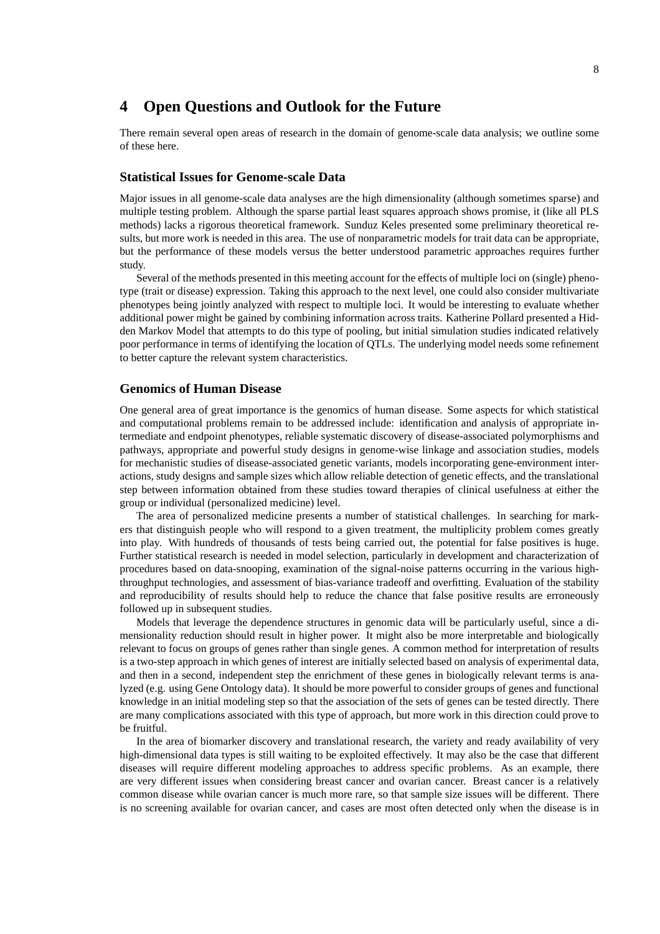# **4 Open Questions and Outlook for the Future**

There remain several open areas of research in the domain of genome-scale data analysis; we outline some of these here.

#### **Statistical Issues for Genome-scale Data**

Major issues in all genome-scale data analyses are the high dimensionality (although sometimes sparse) and multiple testing problem. Although the sparse partial least squares approach shows promise, it (like all PLS methods) lacks a rigorous theoretical framework. Sunduz Keles presented some preliminary theoretical results, but more work is needed in this area. The use of nonparametric models for trait data can be appropriate, but the performance of these models versus the better understood parametric approaches requires further study.

Several of the methods presented in this meeting account for the effects of multiple loci on (single) phenotype (trait or disease) expression. Taking this approach to the next level, one could also consider multivariate phenotypes being jointly analyzed with respect to multiple loci. It would be interesting to evaluate whether additional power might be gained by combining information across traits. Katherine Pollard presented a Hidden Markov Model that attempts to do this type of pooling, but initial simulation studies indicated relatively poor performance in terms of identifying the location of QTLs. The underlying model needs some refinement to better capture the relevant system characteristics.

## **Genomics of Human Disease**

One general area of great importance is the genomics of human disease. Some aspects for which statistical and computational problems remain to be addressed include: identification and analysis of appropriate intermediate and endpoint phenotypes, reliable systematic discovery of disease-associated polymorphisms and pathways, appropriate and powerful study designs in genome-wise linkage and association studies, models for mechanistic studies of disease-associated genetic variants, models incorporating gene-environment interactions, study designs and sample sizes which allow reliable detection of genetic effects, and the translational step between information obtained from these studies toward therapies of clinical usefulness at either the group or individual (personalized medicine) level.

The area of personalized medicine presents a number of statistical challenges. In searching for markers that distinguish people who will respond to a given treatment, the multiplicity problem comes greatly into play. With hundreds of thousands of tests being carried out, the potential for false positives is huge. Further statistical research is needed in model selection, particularly in development and characterization of procedures based on data-snooping, examination of the signal-noise patterns occurring in the various highthroughput technologies, and assessment of bias-variance tradeoff and overfitting. Evaluation of the stability and reproducibility of results should help to reduce the chance that false positive results are erroneously followed up in subsequent studies.

Models that leverage the dependence structures in genomic data will be particularly useful, since a dimensionality reduction should result in higher power. It might also be more interpretable and biologically relevant to focus on groups of genes rather than single genes. A common method for interpretation of results is a two-step approach in which genes of interest are initially selected based on analysis of experimental data, and then in a second, independent step the enrichment of these genes in biologically relevant terms is analyzed (e.g. using Gene Ontology data). It should be more powerful to consider groups of genes and functional knowledge in an initial modeling step so that the association of the sets of genes can be tested directly. There are many complications associated with this type of approach, but more work in this direction could prove to be fruitful.

In the area of biomarker discovery and translational research, the variety and ready availability of very high-dimensional data types is still waiting to be exploited effectively. It may also be the case that different diseases will require different modeling approaches to address specific problems. As an example, there are very different issues when considering breast cancer and ovarian cancer. Breast cancer is a relatively common disease while ovarian cancer is much more rare, so that sample size issues will be different. There is no screening available for ovarian cancer, and cases are most often detected only when the disease is in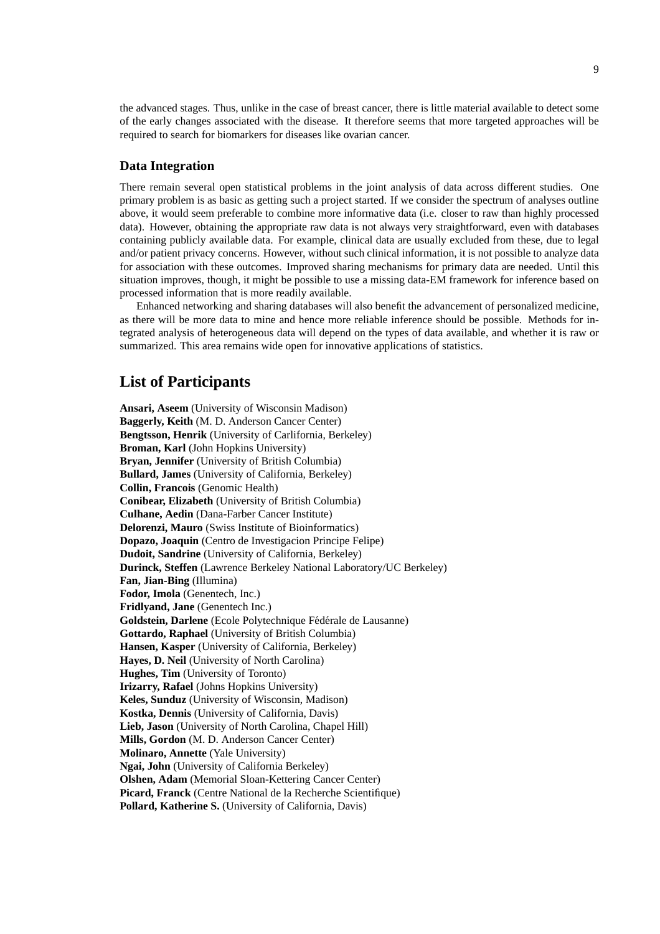the advanced stages. Thus, unlike in the case of breast cancer, there is little material available to detect some of the early changes associated with the disease. It therefore seems that more targeted approaches will be required to search for biomarkers for diseases like ovarian cancer.

## **Data Integration**

There remain several open statistical problems in the joint analysis of data across different studies. One primary problem is as basic as getting such a project started. If we consider the spectrum of analyses outline above, it would seem preferable to combine more informative data (i.e. closer to raw than highly processed data). However, obtaining the appropriate raw data is not always very straightforward, even with databases containing publicly available data. For example, clinical data are usually excluded from these, due to legal and/or patient privacy concerns. However, without such clinical information, it is not possible to analyze data for association with these outcomes. Improved sharing mechanisms for primary data are needed. Until this situation improves, though, it might be possible to use a missing data-EM framework for inference based on processed information that is more readily available.

Enhanced networking and sharing databases will also benefit the advancement of personalized medicine, as there will be more data to mine and hence more reliable inference should be possible. Methods for integrated analysis of heterogeneous data will depend on the types of data available, and whether it is raw or summarized. This area remains wide open for innovative applications of statistics.

# **List of Participants**

**Ansari, Aseem** (University of Wisconsin Madison) **Baggerly, Keith** (M. D. Anderson Cancer Center) **Bengtsson, Henrik** (University of Carlifornia, Berkeley) **Broman, Karl** (John Hopkins University) **Bryan, Jennifer** (University of British Columbia) **Bullard, James** (University of California, Berkeley) **Collin, Francois** (Genomic Health) **Conibear, Elizabeth** (University of British Columbia) **Culhane, Aedin** (Dana-Farber Cancer Institute) **Delorenzi, Mauro** (Swiss Institute of Bioinformatics) **Dopazo, Joaquin** (Centro de Investigacion Principe Felipe) **Dudoit, Sandrine** (University of California, Berkeley) **Durinck, Steffen** (Lawrence Berkeley National Laboratory/UC Berkeley) **Fan, Jian-Bing** (Illumina) **Fodor, Imola** (Genentech, Inc.) **Fridlyand, Jane** (Genentech Inc.) Goldstein, Darlene (Ecole Polytechnique Fédérale de Lausanne) **Gottardo, Raphael** (University of British Columbia) **Hansen, Kasper** (University of California, Berkeley) **Hayes, D. Neil** (University of North Carolina) **Hughes, Tim** (University of Toronto) **Irizarry, Rafael** (Johns Hopkins University) **Keles, Sunduz** (University of Wisconsin, Madison) **Kostka, Dennis** (University of California, Davis) **Lieb, Jason** (University of North Carolina, Chapel Hill) **Mills, Gordon** (M. D. Anderson Cancer Center) **Molinaro, Annette** (Yale University) **Ngai, John** (University of California Berkeley) **Olshen, Adam** (Memorial Sloan-Kettering Cancer Center) **Picard, Franck** (Centre National de la Recherche Scientifique) **Pollard, Katherine S.** (University of California, Davis)